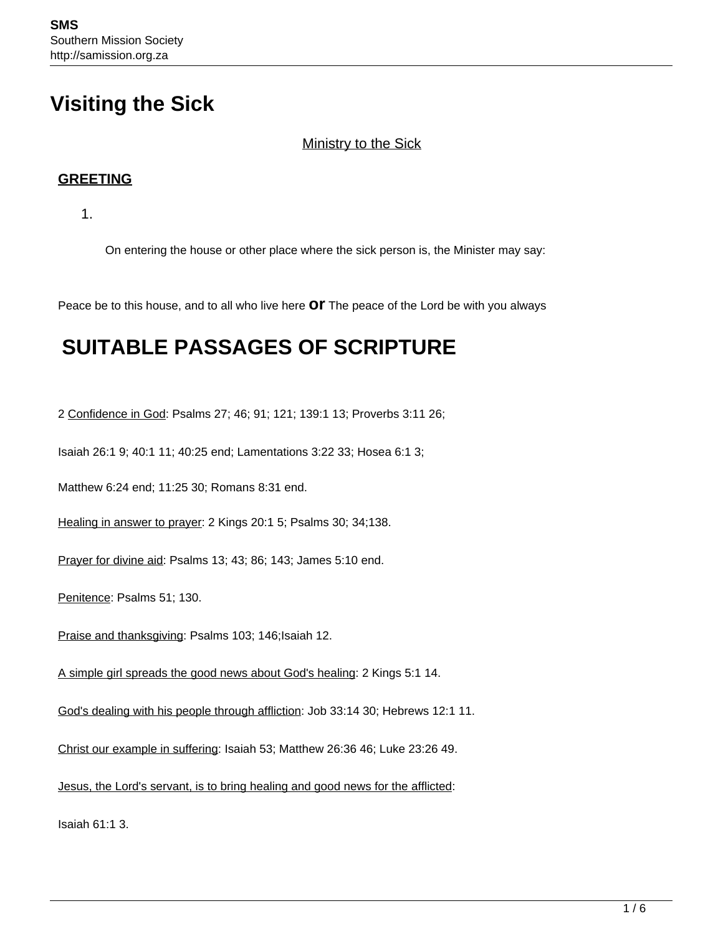# **Visiting the Sick**

#### Ministry to the Sick

#### **GREETING**

1.

On entering the house or other place where the sick person is, the Minister may say:

Peace be to this house, and to all who live here **or** The peace of the Lord be with you always

# **SUITABLE PASSAGES OF SCRIPTURE**

2 Confidence in God: Psalms 27; 46; 91; 121; 139:1 13; Proverbs 3:11 26;

Isaiah 26:1 9; 40:1 11; 40:25 end; Lamentations 3:22 33; Hosea 6:1 3;

Matthew 6:24 end; 11:25 30; Romans 8:31 end.

Healing in answer to prayer: 2 Kings 20:1 5; Psalms 30; 34;138.

Prayer for divine aid: Psalms 13; 43; 86; 143; James 5:10 end.

Penitence: Psalms 51; 130.

Praise and thanksgiving: Psalms 103; 146; Isaiah 12.

A simple girl spreads the good news about God's healing: 2 Kings 5:1 14.

God's dealing with his people through affliction: Job 33:14 30; Hebrews 12:1 11.

Christ our example in suffering: Isaiah 53; Matthew 26:36 46; Luke 23:26 49.

Jesus, the Lord's servant, is to bring healing and good news for the afflicted:

Isaiah 61:1 3.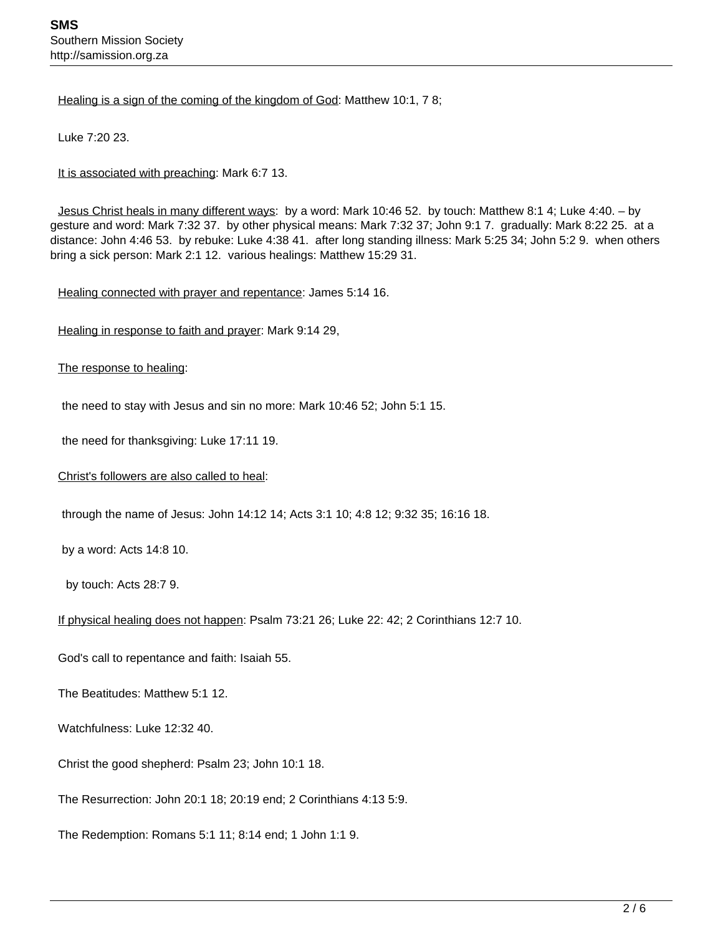Healing is a sign of the coming of the kingdom of God: Matthew 10:1, 7 8;

Luke 7:20 23.

It is associated with preaching: Mark 6:7 13.

 Jesus Christ heals in many different ways: by a word: Mark 10:46 52. by touch: Matthew 8:1 4; Luke 4:40. – by gesture and word: Mark 7:32 37. by other physical means: Mark 7:32 37; John 9:1 7. gradually: Mark 8:22 25. at a distance: John 4:46 53. by rebuke: Luke 4:38 41. after long standing illness: Mark 5:25 34; John 5:2 9. when others bring a sick person: Mark 2:1 12. various healings: Matthew 15:29 31.

Healing connected with prayer and repentance: James 5:14 16.

Healing in response to faith and prayer: Mark 9:14 29,

#### The response to healing:

the need to stay with Jesus and sin no more: Mark 10:46 52; John 5:1 15.

the need for thanksgiving: Luke 17:11 19.

Christ's followers are also called to heal:

through the name of Jesus: John 14:12 14; Acts 3:1 10; 4:8 12; 9:32 35; 16:16 18.

by a word: Acts 14:8 10.

by touch: Acts 28:7 9.

If physical healing does not happen: Psalm 73:21 26; Luke 22: 42; 2 Corinthians 12:7 10.

God's call to repentance and faith: Isaiah 55.

The Beatitudes: Matthew 5:1 12.

Watchfulness: Luke 12:32 40.

Christ the good shepherd: Psalm 23; John 10:1 18.

The Resurrection: John 20:1 18; 20:19 end; 2 Corinthians 4:13 5:9.

The Redemption: Romans 5:1 11; 8:14 end; 1 John 1:1 9.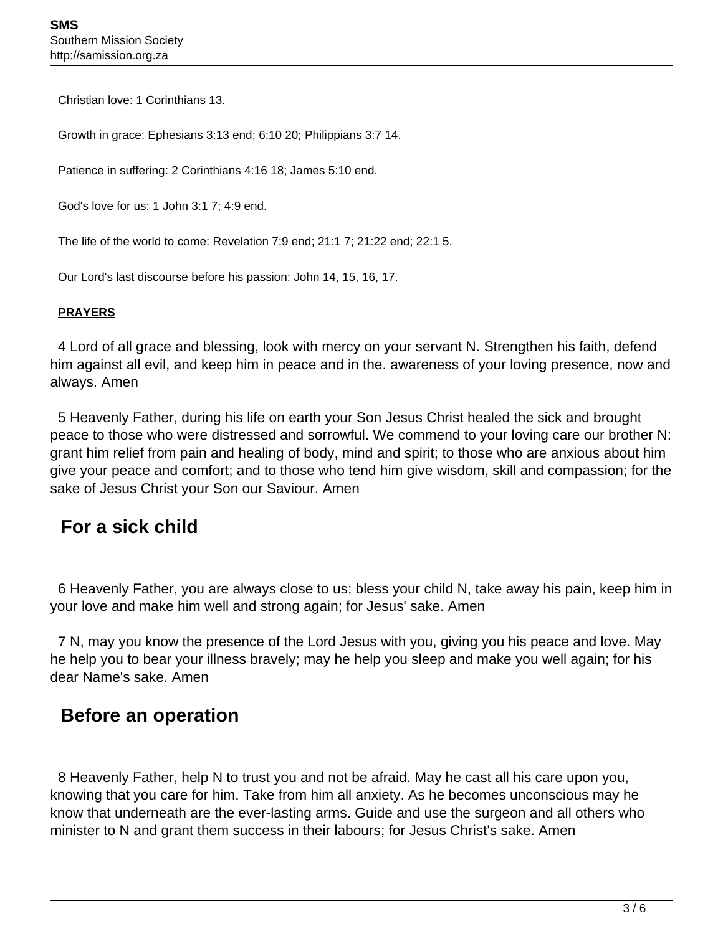Christian love: 1 Corinthians 13.

Growth in grace: Ephesians 3:13 end; 6:10 20; Philippians 3:7 14.

Patience in suffering: 2 Corinthians 4:16 18; James 5:10 end.

God's love for us: 1 John 3:1 7; 4:9 end.

The life of the world to come: Revelation 7:9 end; 21:1 7; 21:22 end; 22:1 5.

Our Lord's last discourse before his passion: John 14, 15, 16, 17.

#### **PRAYERS**

 4 Lord of all grace and blessing, look with mercy on your servant N. Strengthen his faith, defend him against all evil, and keep him in peace and in the. awareness of your loving presence, now and always. Amen

 5 Heavenly Father, during his life on earth your Son Jesus Christ healed the sick and brought peace to those who were distressed and sorrowful. We commend to your loving care our brother N: grant him relief from pain and healing of body, mind and spirit; to those who are anxious about him give your peace and comfort; and to those who tend him give wisdom, skill and compassion; for the sake of Jesus Christ your Son our Saviour. Amen

### **For a sick child**

 6 Heavenly Father, you are always close to us; bless your child N, take away his pain, keep him in your love and make him well and strong again; for Jesus' sake. Amen

 7 N, may you know the presence of the Lord Jesus with you, giving you his peace and love. May he help you to bear your illness bravely; may he help you sleep and make you well again; for his dear Name's sake. Amen

### **Before an operation**

 8 Heavenly Father, help N to trust you and not be afraid. May he cast all his care upon you, knowing that you care for him. Take from him all anxiety. As he becomes unconscious may he know that underneath are the ever-lasting arms. Guide and use the surgeon and all others who minister to N and grant them success in their labours; for Jesus Christ's sake. Amen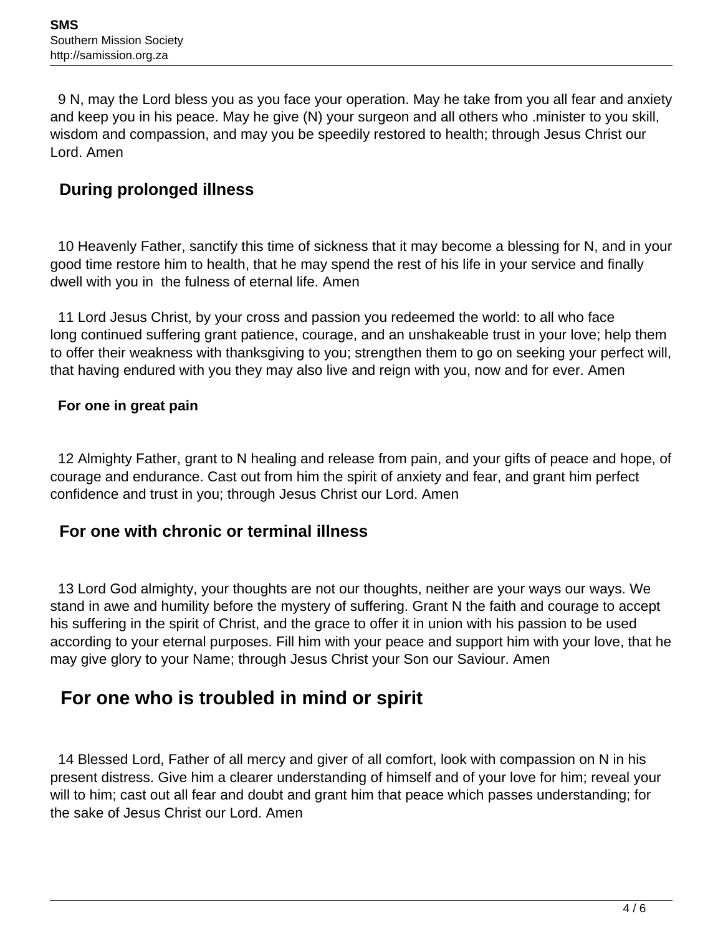9 N, may the Lord bless you as you face your operation. May he take from you all fear and anxiety and keep you in his peace. May he give (N) your surgeon and all others who .minister to you skill, wisdom and compassion, and may you be speedily restored to health; through Jesus Christ our Lord. Amen

### **During prolonged illness**

 10 Heavenly Father, sanctify this time of sickness that it may become a blessing for N, and in your good time restore him to health, that he may spend the rest of his life in your service and finally dwell with you in the fulness of eternal life. Amen

 11 Lord Jesus Christ, by your cross and passion you redeemed the world: to all who face long continued suffering grant patience, courage, and an unshakeable trust in your love; help them to offer their weakness with thanksgiving to you; strengthen them to go on seeking your perfect will, that having endured with you they may also live and reign with you, now and for ever. Amen

#### **For one in great pain**

 12 Almighty Father, grant to N healing and release from pain, and your gifts of peace and hope, of courage and endurance. Cast out from him the spirit of anxiety and fear, and grant him perfect confidence and trust in you; through Jesus Christ our Lord. Amen

#### **For one with chronic or terminal illness**

 13 Lord God almighty, your thoughts are not our thoughts, neither are your ways our ways. We stand in awe and humility before the mystery of suffering. Grant N the faith and courage to accept his suffering in the spirit of Christ, and the grace to offer it in union with his passion to be used according to your eternal purposes. Fill him with your peace and support him with your love, that he may give glory to your Name; through Jesus Christ your Son our Saviour. Amen

## **For one who is troubled in mind or spirit**

 14 Blessed Lord, Father of all mercy and giver of all comfort, look with compassion on N in his present distress. Give him a clearer understanding of himself and of your love for him; reveal your will to him; cast out all fear and doubt and grant him that peace which passes understanding; for the sake of Jesus Christ our Lord. Amen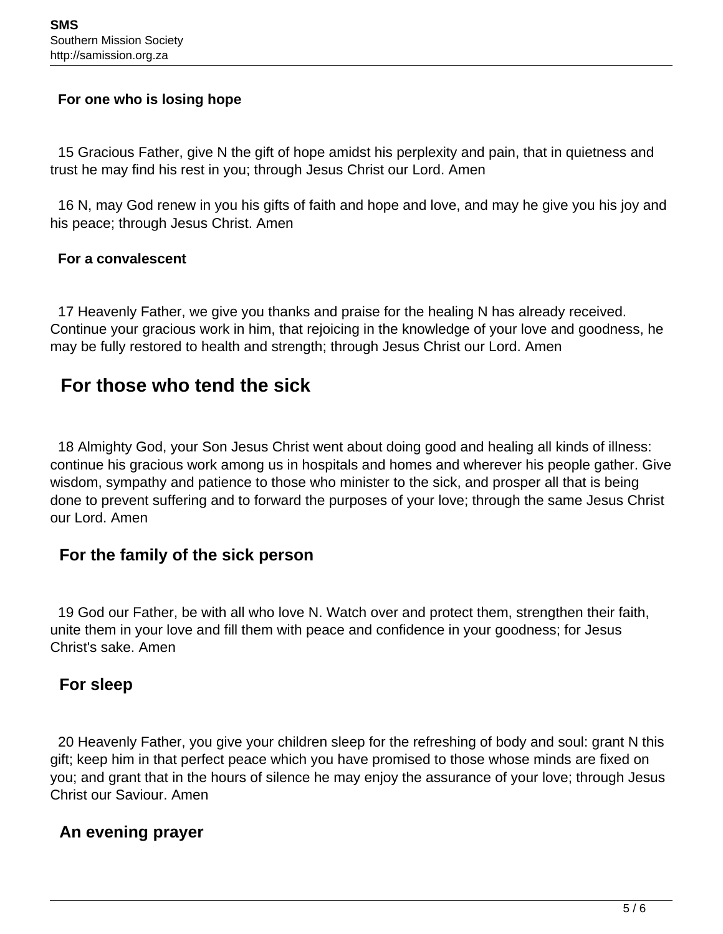#### **For one who is losing hope**

 15 Gracious Father, give N the gift of hope amidst his perplexity and pain, that in quietness and trust he may find his rest in you; through Jesus Christ our Lord. Amen

 16 N, may God renew in you his gifts of faith and hope and love, and may he give you his joy and his peace; through Jesus Christ. Amen

#### **For a convalescent**

 17 Heavenly Father, we give you thanks and praise for the healing N has already received. Continue your gracious work in him, that rejoicing in the knowledge of your love and goodness, he may be fully restored to health and strength; through Jesus Christ our Lord. Amen

## **For those who tend the sick**

 18 Almighty God, your Son Jesus Christ went about doing good and healing all kinds of illness: continue his gracious work among us in hospitals and homes and wherever his people gather. Give wisdom, sympathy and patience to those who minister to the sick, and prosper all that is being done to prevent suffering and to forward the purposes of your love; through the same Jesus Christ our Lord. Amen

### **For the family of the sick person**

 19 God our Father, be with all who love N. Watch over and protect them, strengthen their faith, unite them in your love and fill them with peace and confidence in your goodness; for Jesus Christ's sake. Amen

### **For sleep**

 20 Heavenly Father, you give your children sleep for the refreshing of body and soul: grant N this gift; keep him in that perfect peace which you have promised to those whose minds are fixed on you; and grant that in the hours of silence he may enjoy the assurance of your love; through Jesus Christ our Saviour. Amen

### **An evening prayer**